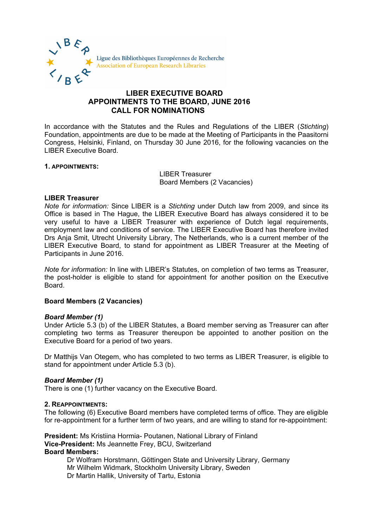

# **LIBER EXECUTIVE BOARD APPOINTMENTS TO THE BOARD, JUNE 2016 CALL FOR NOMINATIONS**

In accordance with the Statutes and the Rules and Regulations of the LIBER (*Stichting*) Foundation, appointments are due to be made at the Meeting of Participants in the Paasitorni Congress, Helsinki, Finland, on Thursday 30 June 2016, for the following vacancies on the LIBER Executive Board.

## **1. APPOINTMENTS:**

LIBER Treasurer Board Members (2 Vacancies)

## **LIBER Treasurer**

*Note for information:* Since LIBER is a *Stichting* under Dutch law from 2009, and since its Office is based in The Hague, the LIBER Executive Board has always considered it to be very useful to have a LIBER Treasurer with experience of Dutch legal requirements, employment law and conditions of service. The LIBER Executive Board has therefore invited Drs Anja Smit, Utrecht University Library, The Netherlands, who is a current member of the LIBER Executive Board, to stand for appointment as LIBER Treasurer at the Meeting of Participants in June 2016.

*Note for information:* In line with LIBER's Statutes, on completion of two terms as Treasurer, the post-holder is eligible to stand for appointment for another position on the Executive Board.

# **Board Members (2 Vacancies)**

# *Board Member (1)*

Under Article 5.3 (b) of the LIBER Statutes, a Board member serving as Treasurer can after completing two terms as Treasurer thereupon be appointed to another position on the Executive Board for a period of two years.

Dr Matthijs Van Otegem, who has completed to two terms as LIBER Treasurer, is eligible to stand for appointment under Article 5.3 (b).

# *Board Member (1)*

There is one (1) further vacancy on the Executive Board.

### **2. REAPPOINTMENTS:**

The following (6) Executive Board members have completed terms of office. They are eligible for re-appointment for a further term of two years, and are willing to stand for re-appointment:

**President:** Ms Kristiina Hormia- Poutanen, National Library of Finland **Vice-President:** Ms Jeannette Frey, BCU, Switzerland **Board Members:**

Dr Wolfram Horstmann, Göttingen State and University Library, Germany Mr Wilhelm Widmark, Stockholm University Library, Sweden Dr Martin Hallik, University of Tartu, Estonia